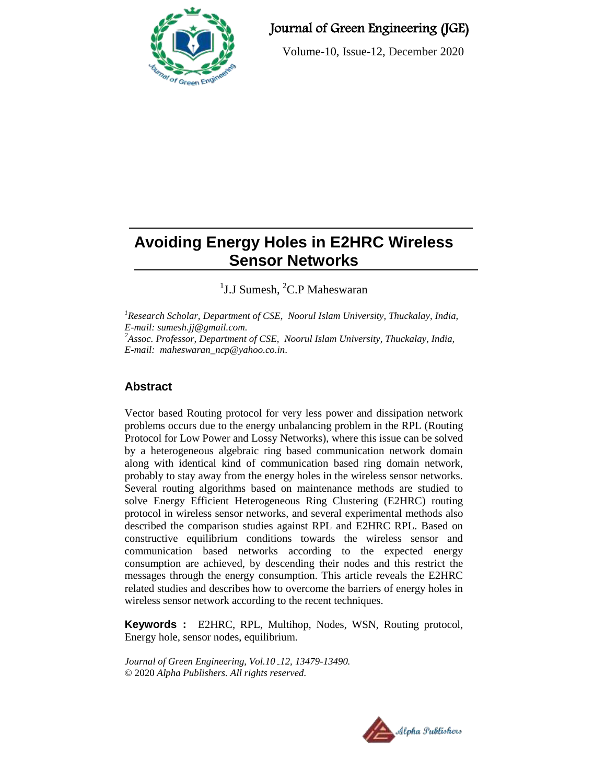

# Journal of Green Engineering (JGE)

Volume-10, Issue-12, December 2020

# **Avoiding Energy Holes in E2HRC Wireless Sensor Networks**

<sup>1</sup>J.J Sumesh, <sup>2</sup>C.P Maheswaran

*<sup>1</sup>Research Scholar, Department of CSE, Noorul Islam University, Thuckalay, India, E-mail: [sumesh.jj@gmail.com.](mailto:sumesh.jj@gmail.com) <sup>2</sup>Assoc. Professor, Department of CSE, Noorul Islam University, Thuckalay, India, E-mail: maheswaran\_ncp@yahoo.co.in.*

# **Abstract**

Vector based Routing protocol for very less power and dissipation network problems occurs due to the energy unbalancing problem in the RPL (Routing Protocol for Low Power and Lossy Networks), where this issue can be solved by a heterogeneous algebraic ring based communication network domain along with identical kind of communication based ring domain network, probably to stay away from the energy holes in the wireless sensor networks. Several routing algorithms based on maintenance methods are studied to solve Energy Efficient Heterogeneous Ring Clustering (E2HRC) routing protocol in wireless sensor networks, and several experimental methods also described the comparison studies against RPL and E2HRC RPL. Based on constructive equilibrium conditions towards the wireless sensor and communication based networks according to the expected energy consumption are achieved, by descending their nodes and this restrict the messages through the energy consumption. This article reveals the E2HRC related studies and describes how to overcome the barriers of energy holes in wireless sensor network according to the recent techniques.

**Keywords :** E2HRC, RPL, Multihop, Nodes, WSN, Routing protocol, Energy hole, sensor nodes, equilibrium.

*Journal of Green Engineering, Vol.10 12, 13479-13490.* © 2020 *Alpha Publishers. All rights reserved.*

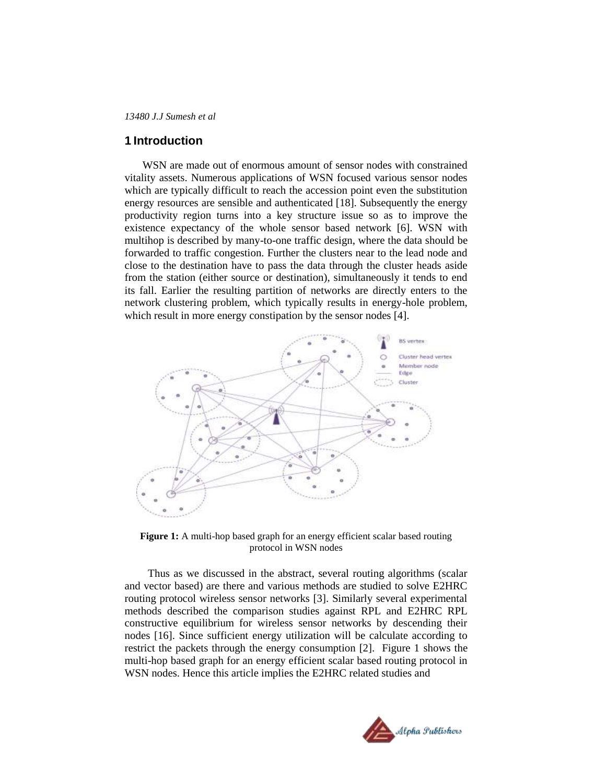#### **1 Introduction**

WSN are made out of enormous amount of sensor nodes with constrained vitality assets. Numerous applications of WSN focused various sensor nodes which are typically difficult to reach the accession point even the substitution energy resources are sensible and authenticated [18]. Subsequently the energy productivity region turns into a key structure issue so as to improve the existence expectancy of the whole sensor based network [6]. WSN with multihop is described by many-to-one traffic design, where the data should be forwarded to traffic congestion. Further the clusters near to the lead node and close to the destination have to pass the data through the cluster heads aside from the station (either source or destination), simultaneously it tends to end its fall. Earlier the resulting partition of networks are directly enters to the network clustering problem, which typically results in energy-hole problem, which result in more energy constipation by the sensor nodes [4].



Figure 1: A multi-hop based graph for an energy efficient scalar based routing protocol in WSN nodes

 Thus as we discussed in the abstract, several routing algorithms (scalar and vector based) are there and various methods are studied to solve E2HRC routing protocol wireless sensor networks [3]. Similarly several experimental methods described the comparison studies against RPL and E2HRC RPL constructive equilibrium for wireless sensor networks by descending their nodes [16]. Since sufficient energy utilization will be calculate according to restrict the packets through the energy consumption [2]. Figure 1 shows the multi-hop based graph for an energy efficient scalar based routing protocol in WSN nodes. Hence this article implies the E2HRC related studies and

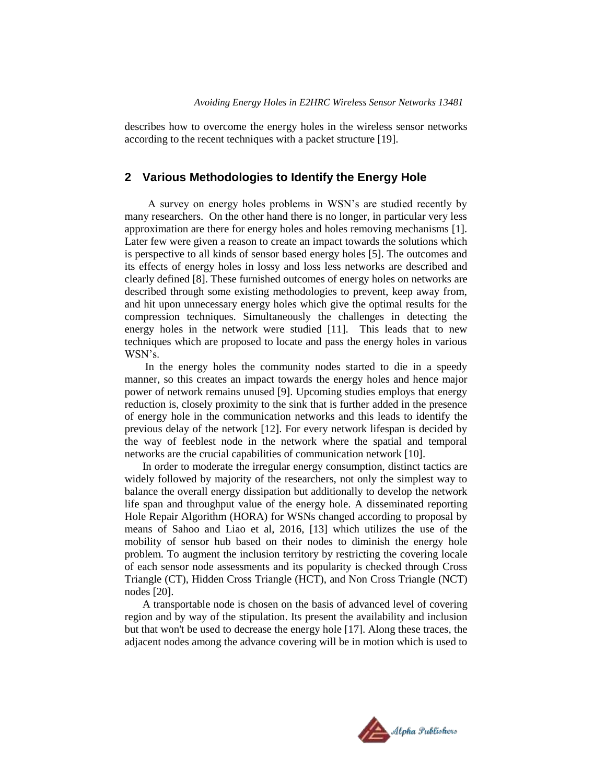describes how to overcome the energy holes in the wireless sensor networks according to the recent techniques with a packet structure [19].

### **2 Various Methodologies to Identify the Energy Hole**

 A survey on energy holes problems in WSN"s are studied recently by many researchers. On the other hand there is no longer, in particular very less approximation are there for energy holes and holes removing mechanisms [1]. Later few were given a reason to create an impact towards the solutions which is perspective to all kinds of sensor based energy holes [5]. The outcomes and its effects of energy holes in lossy and loss less networks are described and clearly defined [8]. These furnished outcomes of energy holes on networks are described through some existing methodologies to prevent, keep away from, and hit upon unnecessary energy holes which give the optimal results for the compression techniques. Simultaneously the challenges in detecting the energy holes in the network were studied [11]. This leads that to new techniques which are proposed to locate and pass the energy holes in various WSN"s.

In the energy holes the community nodes started to die in a speedy manner, so this creates an impact towards the energy holes and hence major power of network remains unused [9]. Upcoming studies employs that energy reduction is, closely proximity to the sink that is further added in the presence of energy hole in the communication networks and this leads to identify the previous delay of the network [12]. For every network lifespan is decided by the way of feeblest node in the network where the spatial and temporal networks are the crucial capabilities of communication network [10].

In order to moderate the irregular energy consumption, distinct tactics are widely followed by majority of the researchers, not only the simplest way to balance the overall energy dissipation but additionally to develop the network life span and throughput value of the energy hole. A disseminated reporting Hole Repair Algorithm (HORA) for WSNs changed according to proposal by means of Sahoo and Liao et al, 2016, [13] which utilizes the use of the mobility of sensor hub based on their nodes to diminish the energy hole problem. To augment the inclusion territory by restricting the covering locale of each sensor node assessments and its popularity is checked through Cross Triangle (CT), Hidden Cross Triangle (HCT), and Non Cross Triangle (NCT) nodes [20].

A transportable node is chosen on the basis of advanced level of covering region and by way of the stipulation. Its present the availability and inclusion but that won't be used to decrease the energy hole [17]. Along these traces, the adjacent nodes among the advance covering will be in motion which is used to

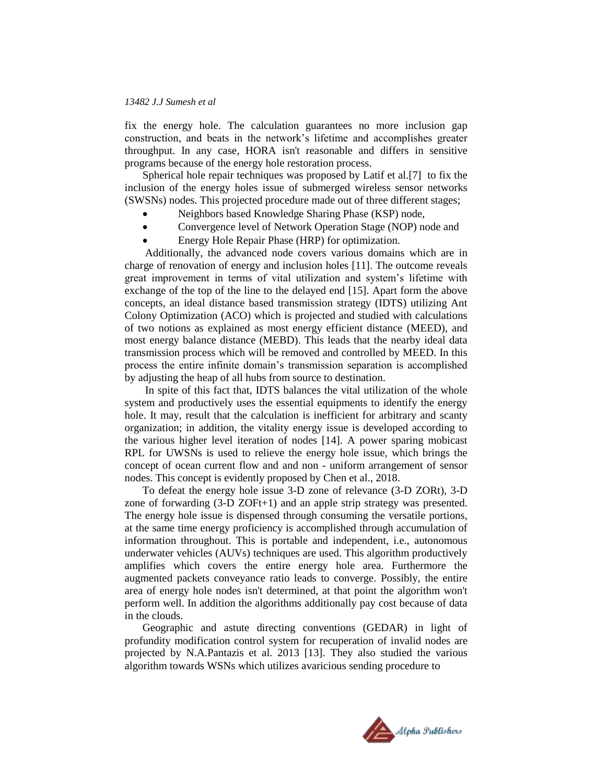fix the energy hole. The calculation guarantees no more inclusion gap construction, and beats in the network"s lifetime and accomplishes greater throughput. In any case, HORA isn't reasonable and differs in sensitive programs because of the energy hole restoration process.

Spherical hole repair techniques was proposed by Latif et al.[7] to fix the inclusion of the energy holes issue of submerged wireless sensor networks (SWSNs) nodes. This projected procedure made out of three different stages;

- Neighbors based Knowledge Sharing Phase (KSP) node,
- Convergence level of Network Operation Stage (NOP) node and
- Energy Hole Repair Phase (HRP) for optimization.

Additionally, the advanced node covers various domains which are in charge of renovation of energy and inclusion holes [11]. The outcome reveals great improvement in terms of vital utilization and system"s lifetime with exchange of the top of the line to the delayed end [15]. Apart form the above concepts, an ideal distance based transmission strategy (IDTS) utilizing Ant Colony Optimization (ACO) which is projected and studied with calculations of two notions as explained as most energy efficient distance (MEED), and most energy balance distance (MEBD). This leads that the nearby ideal data transmission process which will be removed and controlled by MEED. In this process the entire infinite domain"s transmission separation is accomplished by adjusting the heap of all hubs from source to destination.

In spite of this fact that, IDTS balances the vital utilization of the whole system and productively uses the essential equipments to identify the energy hole. It may, result that the calculation is inefficient for arbitrary and scanty organization; in addition, the vitality energy issue is developed according to the various higher level iteration of nodes [14]. A power sparing mobicast RPL for UWSNs is used to relieve the energy hole issue, which brings the concept of ocean current flow and and non - uniform arrangement of sensor nodes. This concept is evidently proposed by Chen et al., 2018.

To defeat the energy hole issue 3-D zone of relevance (3-D ZORt), 3-D zone of forwarding (3-D ZOFt+1) and an apple strip strategy was presented. The energy hole issue is dispensed through consuming the versatile portions, at the same time energy proficiency is accomplished through accumulation of information throughout. This is portable and independent, i.e., autonomous underwater vehicles (AUVs) techniques are used. This algorithm productively amplifies which covers the entire energy hole area. Furthermore the augmented packets conveyance ratio leads to converge. Possibly, the entire area of energy hole nodes isn't determined, at that point the algorithm won't perform well. In addition the algorithms additionally pay cost because of data in the clouds.

Geographic and astute directing conventions (GEDAR) in light of profundity modification control system for recuperation of invalid nodes are projected by N.A.Pantazis et al. 2013 [13]. They also studied the various algorithm towards WSNs which utilizes avaricious sending procedure to

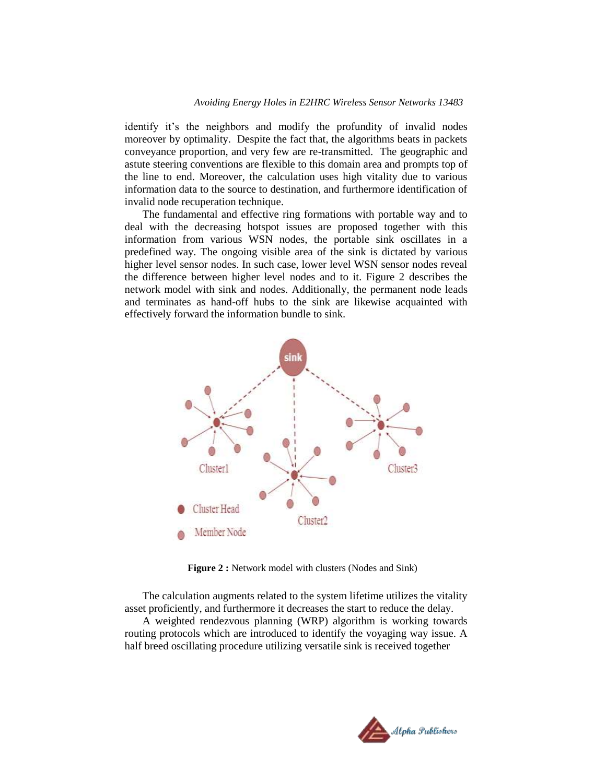identify it"s the neighbors and modify the profundity of invalid nodes moreover by optimality. Despite the fact that, the algorithms beats in packets conveyance proportion, and very few are re-transmitted. The geographic and astute steering conventions are flexible to this domain area and prompts top of the line to end. Moreover, the calculation uses high vitality due to various information data to the source to destination, and furthermore identification of invalid node recuperation technique.

The fundamental and effective ring formations with portable way and to deal with the decreasing hotspot issues are proposed together with this information from various WSN nodes, the portable sink oscillates in a predefined way. The ongoing visible area of the sink is dictated by various higher level sensor nodes. In such case, lower level WSN sensor nodes reveal the difference between higher level nodes and to it. Figure 2 describes the network model with sink and nodes. Additionally, the permanent node leads and terminates as hand-off hubs to the sink are likewise acquainted with effectively forward the information bundle to sink.



**Figure 2 :** Network model with clusters (Nodes and Sink)

The calculation augments related to the system lifetime utilizes the vitality asset proficiently, and furthermore it decreases the start to reduce the delay. A weighted rendezvous planning (WRP) algorithm is working towards routing protocols which are introduced to identify the voyaging way issue. A half breed oscillating procedure utilizing versatile sink is received together

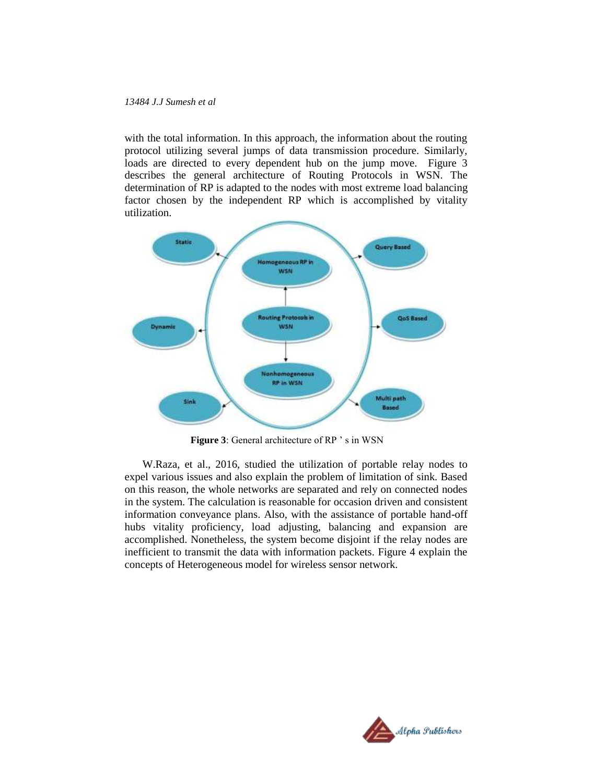with the total information. In this approach, the information about the routing protocol utilizing several jumps of data transmission procedure. Similarly, loads are directed to every dependent hub on the jump move. Figure 3 describes the general architecture of Routing Protocols in WSN. The determination of RP is adapted to the nodes with most extreme load balancing factor chosen by the independent RP which is accomplished by vitality utilization.



Figure 3: General architecture of RP 's in WSN

W.Raza, et al., 2016, studied the utilization of portable relay nodes to expel various issues and also explain the problem of limitation of sink. Based on this reason, the whole networks are separated and rely on connected nodes in the system. The calculation is reasonable for occasion driven and consistent information conveyance plans. Also, with the assistance of portable hand-off hubs vitality proficiency, load adjusting, balancing and expansion are accomplished. Nonetheless, the system become disjoint if the relay nodes are inefficient to transmit the data with information packets. Figure 4 explain the concepts of Heterogeneous model for wireless sensor network.

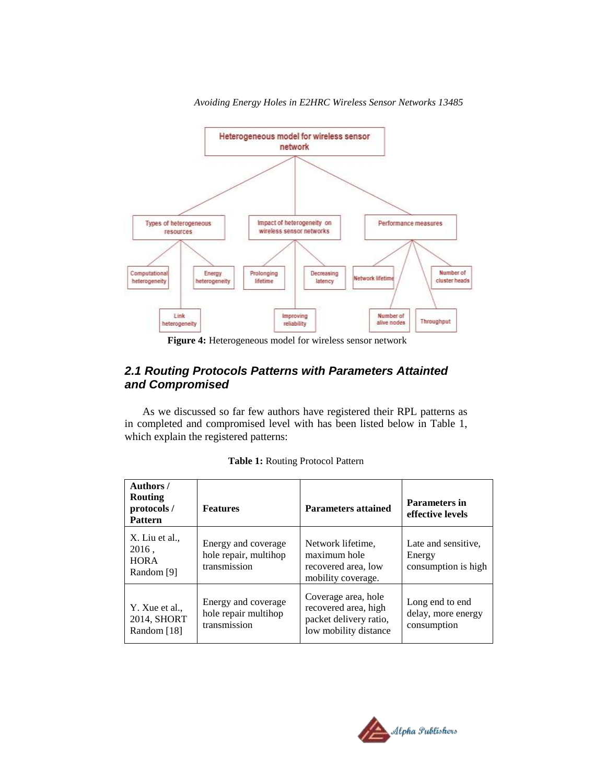

*Avoiding Energy Holes in E2HRC Wireless Sensor Networks 13485*

**Figure 4:** Heterogeneous model for wireless sensor network

## *2.1 Routing Protocols Patterns with Parameters Attainted and Compromised*

As we discussed so far few authors have registered their RPL patterns as in completed and compromised level with has been listed below in Table 1, which explain the registered patterns:

| Authors /<br>Routing<br>protocols /<br><b>Pattern</b> | <b>Features</b>                                              | <b>Parameters attained</b>                                                                     | Parameters in<br>effective levels                    |
|-------------------------------------------------------|--------------------------------------------------------------|------------------------------------------------------------------------------------------------|------------------------------------------------------|
| X. Liu et al.,<br>2016,<br><b>HORA</b><br>Random [9]  | Energy and coverage<br>hole repair, multihop<br>transmission | Network lifetime,<br>maximum hole<br>recovered area, low<br>mobility coverage.                 | Late and sensitive.<br>Energy<br>consumption is high |
| Y. Xue et al.,<br>2014, SHORT<br>Random [18]          | Energy and coverage<br>hole repair multihop<br>transmission  | Coverage area, hole<br>recovered area, high<br>packet delivery ratio,<br>low mobility distance | Long end to end<br>delay, more energy<br>consumption |

**Table 1:** Routing Protocol Pattern

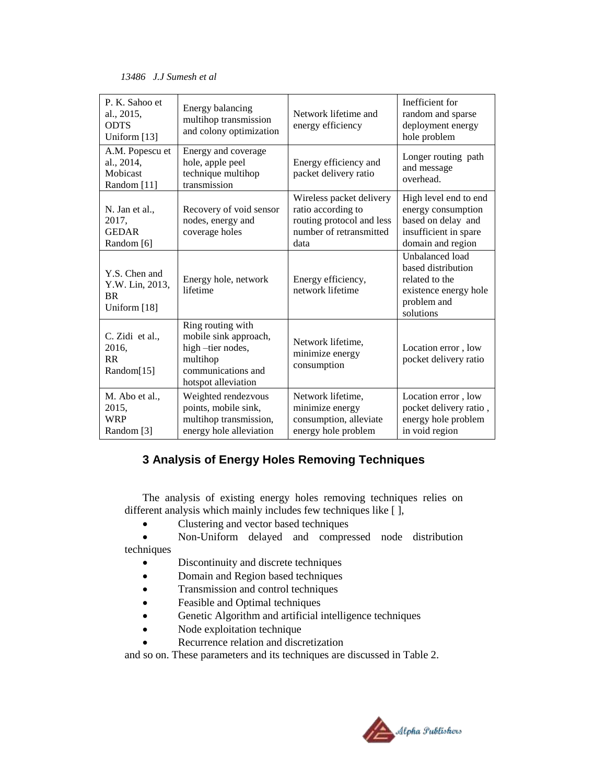| P. K. Sahoo et<br>al., 2015,<br><b>ODTS</b><br>Uniform [13]   | Energy balancing<br>multihop transmission<br>and colony optimization                                                    | Network lifetime and<br>energy efficiency                                                                      | Inefficient for<br>random and sparse<br>deployment energy<br>hole problem                                       |
|---------------------------------------------------------------|-------------------------------------------------------------------------------------------------------------------------|----------------------------------------------------------------------------------------------------------------|-----------------------------------------------------------------------------------------------------------------|
| A.M. Popescu et<br>al., 2014,<br>Mobicast<br>Random [11]      | Energy and coverage<br>hole, apple peel<br>technique multihop<br>transmission                                           | Energy efficiency and<br>packet delivery ratio                                                                 | Longer routing path<br>and message<br>overhead.                                                                 |
| N. Jan et al.,<br>2017,<br><b>GEDAR</b><br>Random [6]         | Recovery of void sensor<br>nodes, energy and<br>coverage holes                                                          | Wireless packet delivery<br>ratio according to<br>routing protocol and less<br>number of retransmitted<br>data | High level end to end<br>energy consumption<br>based on delay and<br>insufficient in spare<br>domain and region |
| Y.S. Chen and<br>Y.W. Lin, 2013,<br><b>BR</b><br>Uniform [18] | Energy hole, network<br>lifetime                                                                                        | Energy efficiency,<br>network lifetime                                                                         | Unbalanced load<br>based distribution<br>related to the<br>existence energy hole<br>problem and<br>solutions    |
| C. Zidi et al.,<br>2016,<br><b>RR</b><br>Random[15]           | Ring routing with<br>mobile sink approach,<br>high-tier nodes,<br>multihop<br>communications and<br>hotspot alleviation | Network lifetime,<br>minimize energy<br>consumption                                                            | Location error, low<br>pocket delivery ratio                                                                    |
| M. Abo et al.,<br>2015,<br><b>WRP</b><br>Random [3]           | Weighted rendezvous<br>points, mobile sink,<br>multihop transmission,<br>energy hole alleviation                        | Network lifetime,<br>minimize energy<br>consumption, alleviate<br>energy hole problem                          | Location error, low<br>pocket delivery ratio,<br>energy hole problem<br>in void region                          |

# **3 Analysis of Energy Holes Removing Techniques**

The analysis of existing energy holes removing techniques relies on different analysis which mainly includes few techniques like [ ],

- Clustering and vector based techniques
- Non-Uniform delayed and compressed node distribution techniques
	- Discontinuity and discrete techniques
	- Domain and Region based techniques
	- Transmission and control techniques
	- Feasible and Optimal techniques
	- Genetic Algorithm and artificial intelligence techniques
	- Node exploitation technique
	- Recurrence relation and discretization

and so on. These parameters and its techniques are discussed in Table 2.

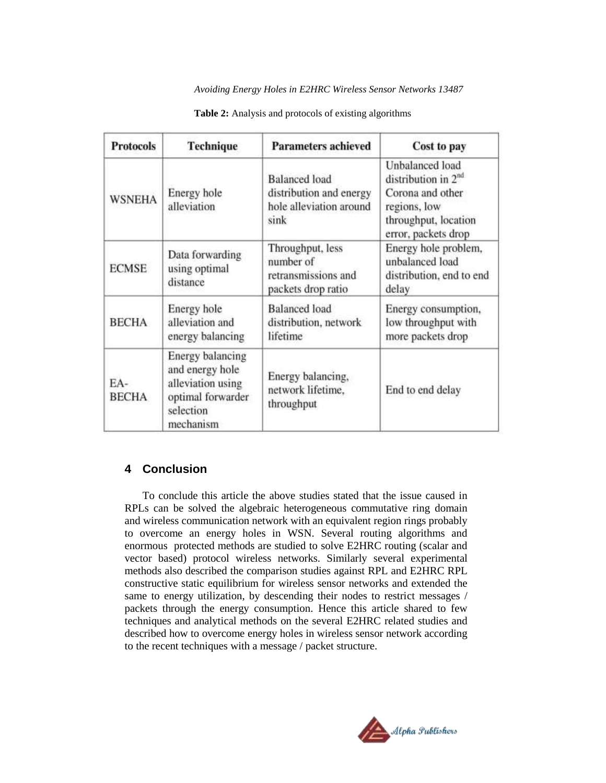#### *Avoiding Energy Holes in E2HRC Wireless Sensor Networks 13487*

| <b>Protocols</b>    | <b>Technique</b>                                                                                               | <b>Parameters achieved</b>                                                         | Cost to pay                                                                                                                    |
|---------------------|----------------------------------------------------------------------------------------------------------------|------------------------------------------------------------------------------------|--------------------------------------------------------------------------------------------------------------------------------|
| <b>WSNEHA</b>       | Energy hole<br>alleviation                                                                                     | <b>Balanced</b> load<br>distribution and energy<br>hole alleviation around<br>sink | Unbalanced load<br>distribution in $2^{nd}$<br>Corona and other<br>regions, low<br>throughput, location<br>error, packets drop |
| <b>ECMSE</b>        | Data forwarding<br>using optimal<br>distance                                                                   | Throughput, less<br>number of<br>retransmissions and<br>packets drop ratio         | Energy hole problem,<br>unbalanced load<br>distribution, end to end<br>delay                                                   |
| <b>BECHA</b>        | Energy hole<br>alleviation and<br>energy balancing                                                             | <b>Balanced</b> load<br>distribution, network<br>lifetime                          | Energy consumption,<br>low throughput with<br>more packets drop                                                                |
| EA-<br><b>BECHA</b> | <b>Energy balancing</b><br>and energy hole<br>alleviation using<br>optimal forwarder<br>selection<br>mechanism | Energy balancing,<br>network lifetime.<br>throughput                               | End to end delay                                                                                                               |

#### **Table 2:** Analysis and protocols of existing algorithms

## **4 Conclusion**

To conclude this article the above studies stated that the issue caused in RPLs can be solved the algebraic heterogeneous commutative ring domain and wireless communication network with an equivalent region rings probably to overcome an energy holes in WSN. Several routing algorithms and enormous protected methods are studied to solve E2HRC routing (scalar and vector based) protocol wireless networks. Similarly several experimental methods also described the comparison studies against RPL and E2HRC RPL constructive static equilibrium for wireless sensor networks and extended the same to energy utilization, by descending their nodes to restrict messages / packets through the energy consumption. Hence this article shared to few techniques and analytical methods on the several E2HRC related studies and described how to overcome energy holes in wireless sensor network according to the recent techniques with a message / packet structure.

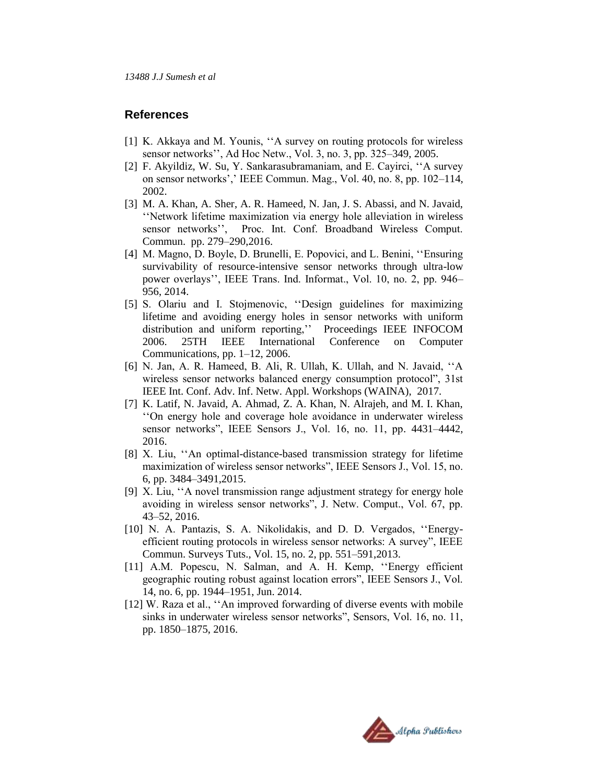#### **References**

- [1] K. Akkaya and M. Younis, "A survey on routing protocols for wireless sensor networks"", Ad Hoc Netw., Vol. 3, no. 3, pp. 325–349, 2005.
- [2] F. Akyildiz, W. Su, Y. Sankarasubramaniam, and E. Cayirci, "A survey" on sensor networks"," IEEE Commun. Mag., Vol. 40, no. 8, pp. 102–114, 2002.
- [3] M. A. Khan, A. Sher, A. R. Hameed, N. Jan, J. S. Abassi, and N. Javaid, "Network lifetime maximization via energy hole alleviation in wireless sensor networks", Proc. Int. Conf. Broadband Wireless Comput. Commun. pp. 279–290,2016.
- [4] M. Magno, D. Boyle, D. Brunelli, E. Popovici, and L. Benini, ""Ensuring survivability of resource-intensive sensor networks through ultra-low power overlays"", IEEE Trans. Ind. Informat., Vol. 10, no. 2, pp. 946– 956, 2014.
- [5] S. Olariu and I. Stojmenovic, "Design guidelines for maximizing lifetime and avoiding energy holes in sensor networks with uniform distribution and uniform reporting,"" Proceedings IEEE INFOCOM 2006. 25TH IEEE International Conference on Computer Communications, pp. 1–12, 2006.
- [6] N. Jan, A. R. Hameed, B. Ali, R. Ullah, K. Ullah, and N. Javaid, ""A wireless sensor networks balanced energy consumption protocol", 31st IEEE Int. Conf. Adv. Inf. Netw. Appl. Workshops (WAINA), 2017.
- [7] K. Latif, N. Javaid, A. Ahmad, Z. A. Khan, N. Alrajeh, and M. I. Khan, ""On energy hole and coverage hole avoidance in underwater wireless sensor networks", IEEE Sensors J., Vol. 16, no. 11, pp. 4431–4442, 2016.
- [8] X. Liu, "An optimal-distance-based transmission strategy for lifetime maximization of wireless sensor networks", IEEE Sensors J., Vol. 15, no. 6, pp. 3484–3491,2015.
- [9] X. Liu, "A novel transmission range adjustment strategy for energy hole avoiding in wireless sensor networks", J. Netw. Comput., Vol. 67, pp. 43–52, 2016.
- [10] N. A. Pantazis, S. A. Nikolidakis, and D. D. Vergados, ""Energyefficient routing protocols in wireless sensor networks: A survey", IEEE Commun. Surveys Tuts., Vol. 15, no. 2, pp. 551–591,2013.
- [11] A.M. Popescu, N. Salman, and A. H. Kemp, "Energy efficient geographic routing robust against location errors", IEEE Sensors J., Vol. 14, no. 6, pp. 1944–1951, Jun. 2014.
- [12] W. Raza et al., "An improved forwarding of diverse events with mobile sinks in underwater wireless sensor networks", Sensors, Vol. 16, no. 11, pp. 1850–1875, 2016.

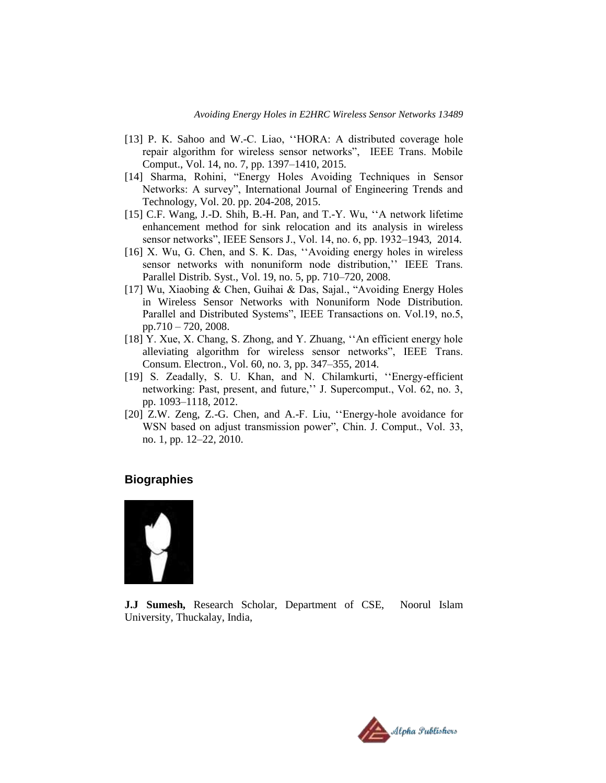- [13] P. K. Sahoo and W.-C. Liao, "HORA: A distributed coverage hole repair algorithm for wireless sensor networks", IEEE Trans. Mobile Comput., Vol. 14, no. 7, pp. 1397–1410, 2015.
- [14] Sharma, Rohini, "Energy Holes Avoiding Techniques in Sensor Networks: A survey", International Journal of Engineering Trends and Technology, Vol. 20. pp. 204-208, 2015.
- [15] C.F. Wang, J.-D. Shih, B.-H. Pan, and T.-Y. Wu, "A network lifetime enhancement method for sink relocation and its analysis in wireless sensor networks", IEEE Sensors J., Vol. 14, no. 6, pp. 1932–1943, 2014.
- [16] X. Wu, G. Chen, and S. K. Das, "Avoiding energy holes in wireless sensor networks with nonuniform node distribution," IEEE Trans. Parallel Distrib. Syst., Vol. 19, no. 5, pp. 710–720, 2008.
- [17] Wu, Xiaobing & Chen, Guihai & Das, Sajal., "Avoiding Energy Holes in Wireless Sensor Networks with Nonuniform Node Distribution. Parallel and Distributed Systems", IEEE Transactions on. Vol.19, no.5, pp.710 – 720, 2008.
- [18] Y. Xue, X. Chang, S. Zhong, and Y. Zhuang, "An efficient energy hole alleviating algorithm for wireless sensor networks", IEEE Trans. Consum. Electron., Vol. 60, no. 3, pp. 347–355, 2014.
- [19] S. Zeadally, S. U. Khan, and N. Chilamkurti, "Energy-efficient networking: Past, present, and future," J. Supercomput., Vol. 62, no. 3, pp. 1093–1118, 2012.
- [20] Z.W. Zeng, Z.-G. Chen, and A.-F. Liu, "Energy-hole avoidance for WSN based on adjust transmission power", Chin. J. Comput., Vol. 33, no. 1, pp. 12–22, 2010.

### **Biographies**



**J.J Sumesh,** Research Scholar, Department of CSE, Noorul Islam University, Thuckalay, India,